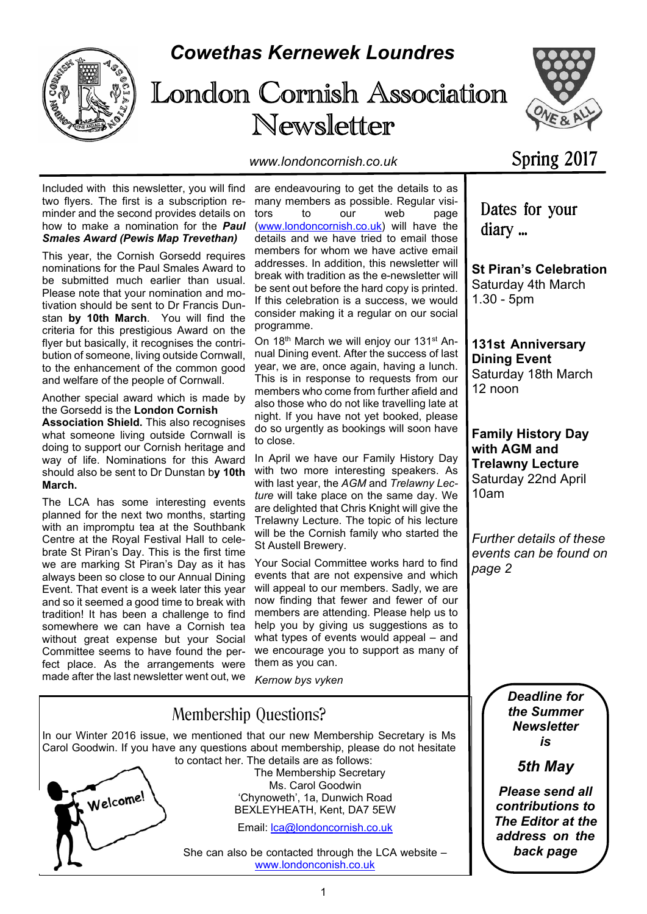

## *Cowethas Kernewek Loundres*

# London Cornish Association Newsletter



*www.londoncornish.co.uk*

## Spring 2017

Included with this newsletter, you will find are endeavouring to get the details to as two flyers. The first is a subscription reminder and the second provides details on how to make a nomination for the *Paul Smales Award (Pewis Map Trevethan)*

This year, the Cornish Gorsedd requires nominations for the Paul Smales Award to be submitted much earlier than usual. Please note that your nomination and motivation should be sent to Dr Francis Dunstan **by 10th March**. You will find the criteria for this prestigious Award on the flyer but basically, it recognises the contribution of someone, living outside Cornwall, to the enhancement of the common good and welfare of the people of Cornwall.

Another special award which is made by the Gorsedd is the **London Cornish**

**Association Shield.** This also recognises what someone living outside Cornwall is doing to support our Cornish heritage and way of life. Nominations for this Award should also be sent to Dr Dunstan b**y 10th March.**

The LCA has some interesting events planned for the next two months, starting with an impromptu tea at the Southbank Centre at the Royal Festival Hall to celebrate St Piran's Day. This is the first time we are marking St Piran's Day as it has always been so close to our Annual Dining Event. That event is a week later this year and so it seemed a good time to break with tradition! It has been a challenge to find somewhere we can have a Cornish tea without great expense but your Social Committee seems to have found the perfect place. As the arrangements were made after the last newsletter went out, we

many members as possible. Regular visitors to our web page (www.londoncornish.co.uk) will have the details and we have tried to email those members for whom we have active email addresses. In addition, this newsletter will break with tradition as the e-newsletter will be sent out before the hard copy is printed. If this celebration is a success, we would consider making it a regular on our social programme.

On 18th March we will enjoy our 131st Annual Dining event. After the success of last year, we are, once again, having a lunch. This is in response to requests from our members who come from further afield and also those who do not like travelling late at night. If you have not yet booked, please do so urgently as bookings will soon have to close.

In April we have our Family History Day with two more interesting speakers. As with last year, the *AGM* and *Trelawny Lecture* will take place on the same day. We are delighted that Chris Knight will give the Trelawny Lecture. The topic of his lecture will be the Cornish family who started the St Austell Brewery.

Your Social Committee works hard to find events that are not expensive and which will appeal to our members. Sadly, we are now finding that fewer and fewer of our members are attending. Please help us to help you by giving us suggestions as to what types of events would appeal – and we encourage you to support as many of them as you can.

*Kernow bys vyken*



**131st Anniversary Dining Event** Saturday 18th March

1.30 - 5pm

diary ...

12 noon

**St Piran's Celebration** Saturday 4th March

Dates for your

**Family History Day with AGM and Trelawny Lecture** Saturday 22nd April 10am

*Further details of these events can be found on page 2*

> *Deadline for the Summer Newsletter is*

> > *5th May*

*Please send all contributions to The Editor at the address on the back page*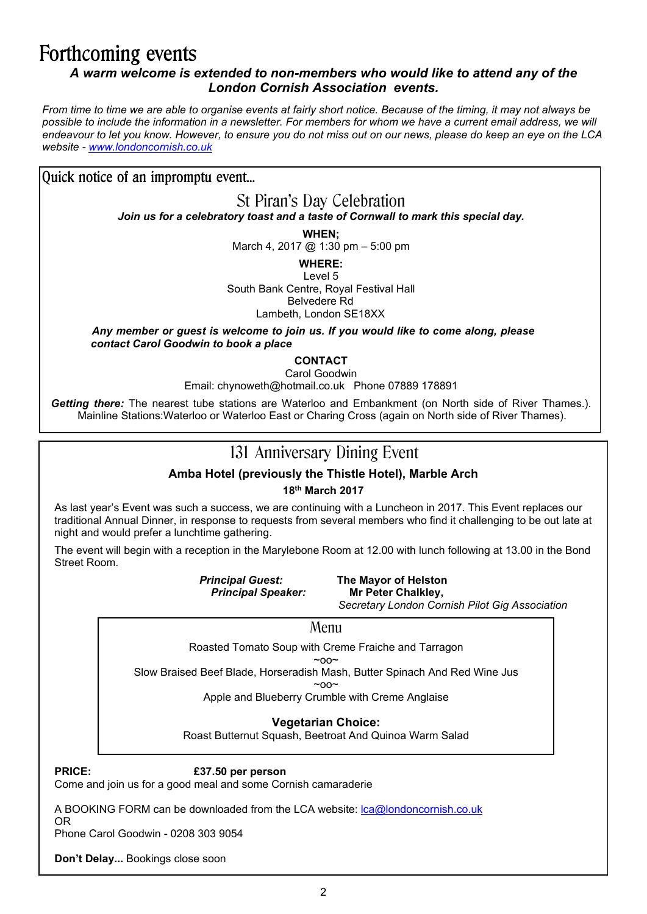## Forthcoming events

### *A warm welcome is extended to non-members who would like to attend any of the London Cornish Association events.*

*From time to time we are able to organise events at fairly short notice. Because of the timing, it may not always be possible to include the information in a newsletter. For members for whom we have a current email address, we will endeavour to let you know. However, to ensure you do not miss out on our news, please do keep an eye on the LCA website - www.londoncornish.co.uk*

Quick notice of an impromptu event...

St Piran's Day Celebration

*Join us for a celebratory toast and a taste of Cornwall to mark this special day.*

**WHEN;**

March 4, 2017 @ 1:30 pm - 5:00 pm

**WHERE:**

Level 5 South Bank Centre, Royal Festival Hall Belvedere Rd Lambeth, London SE18XX

*Any member or guest is welcome to join us. If you would like to come along, please contact Carol Goodwin to book a place*

**CONTACT**

Carol Goodwin

Email: chynoweth@hotmail.co.uk Phone 07889 178891

*Getting there:* The nearest tube stations are Waterloo and Embankment (on North side of River Thames.). Mainline Stations:Waterloo or Waterloo East or Charing Cross (again on North side of River Thames).

### 131 Anniversary Dining Event

### **Amba Hotel (previously the Thistle Hotel), Marble Arch**

**18th March 2017**

As last year's Event was such a success, we are continuing with a Luncheon in 2017. This Event replaces our traditional Annual Dinner, in response to requests from several members who find it challenging to be out late at night and would prefer a lunchtime gathering.

The event will begin with a reception in the Marylebone Room at 12.00 with lunch following at 13.00 in the Bond Street Room.

**Principal Speaker:** 

*Principal Guest:* **The Mayor of Helston**

*Secretary London Cornish Pilot Gig Association*

### Menu

Roasted Tomato Soup with Creme Fraiche and Tarragon

 $\sim$ 

Slow Braised Beef Blade, Horseradish Mash, Butter Spinach And Red Wine Jus  $~\sim$ 00 $~\sim$ 

Apple and Blueberry Crumble with Creme Anglaise

### **Vegetarian Choice:**

Roast Butternut Squash, Beetroat And Quinoa Warm Salad

**PRICE: £37.50 per person**

Come and join us for a good meal and some Cornish camaraderie

A BOOKING FORM can be downloaded from the LCA website: lca@londoncornish.co.uk OR

Phone Carol Goodwin - 0208 303 9054

**Don't Delay...** Bookings close soon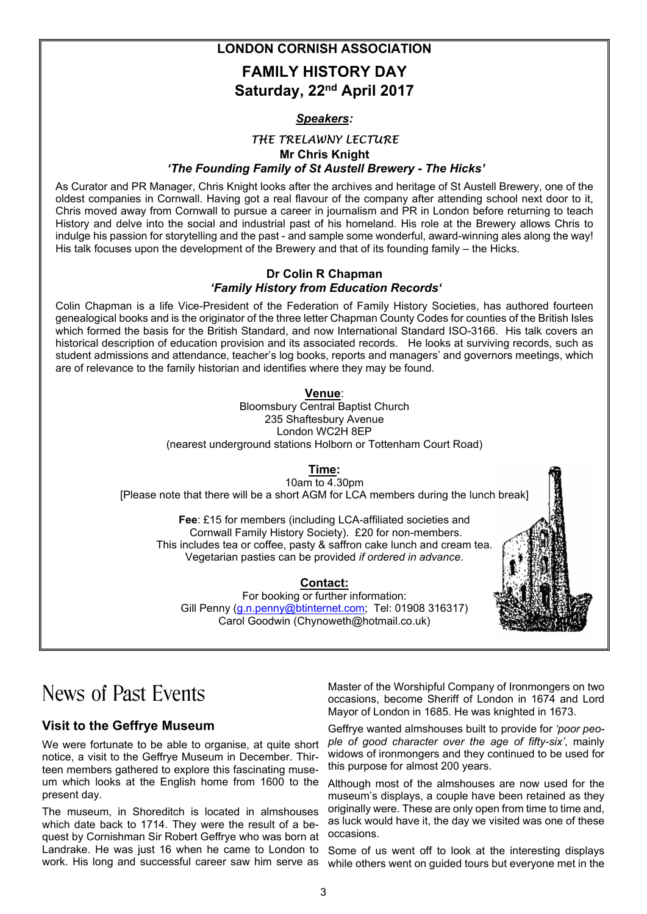**LONDON CORNISH ASSOCIATION**

### **FAMILY HISTORY DAY Saturday, 22nd April 2017**

#### *Speakers:*

### THE TRELAWNY LECTURE **Mr Chris Knight**  *'The Founding Family of St Austell Brewery - The Hicks'*

As Curator and PR Manager, Chris Knight looks after the archives and heritage of St Austell Brewery, one of the oldest companies in Cornwall. Having got a real flavour of the company after attending school next door to it, Chris moved away from Cornwall to pursue a career in journalism and PR in London before returning to teach History and delve into the social and industrial past of his homeland. His role at the Brewery allows Chris to indulge his passion for storytelling and the past - and sample some wonderful, award-winning ales along the way! His talk focuses upon the development of the Brewery and that of its founding family – the Hicks.

#### **Dr Colin R Chapman**  *'Family History from Education Records'*

Colin Chapman is a life Vice-President of the Federation of Family History Societies, has authored fourteen genealogical books and is the originator of the three letter Chapman County Codes for counties of the British Isles which formed the basis for the British Standard, and now International Standard ISO-3166. His talk covers an historical description of education provision and its associated records. He looks at surviving records, such as student admissions and attendance, teacher's log books, reports and managers' and governors meetings, which are of relevance to the family historian and identifies where they may be found.

### **Venue**:

Bloomsbury Central Baptist Church 235 Shaftesbury Avenue London WC2H 8EP (nearest underground stations Holborn or Tottenham Court Road)

### **Time:**

10am to  $\overline{4.30}$ pm [Please note that there will be a short AGM for LCA members during the lunch break]

**Fee**: £15 for members (including LCA-affiliated societies and Cornwall Family History Society). £20 for non-members. This includes tea or coffee, pasty & saffron cake lunch and cream tea. Vegetarian pasties can be provided *if ordered in advance*.

#### **Contact:**

For booking or further information: Gill Penny (g.n.penny@btinternet.com; Tel: 01908 316317) Carol Goodwin (Chynoweth@hotmail.co.uk)

## News of Past Events

### **Visit to the Geffrye Museum**

We were fortunate to be able to organise, at quite short notice, a visit to the Geffrye Museum in December. Thirteen members gathered to explore this fascinating museum which looks at the English home from 1600 to the present day.

The museum, in Shoreditch is located in almshouses which date back to 1714. They were the result of a bequest by Cornishman Sir Robert Geffrye who was born at Landrake. He was just 16 when he came to London to

Master of the Worshipful Company of Ironmongers on two occasions, become Sheriff of London in 1674 and Lord Mayor of London in 1685. He was knighted in 1673.

Geffrye wanted almshouses built to provide for *'poor people of good character over the age of fifty-six'*, mainly widows of ironmongers and they continued to be used for this purpose for almost 200 years.

Although most of the almshouses are now used for the museum's displays, a couple have been retained as they originally were. These are only open from time to time and, as luck would have it, the day we visited was one of these occasions.

work. His long and successful career saw him serve as while others went on guided tours but everyone met in the Some of us went off to look at the interesting displays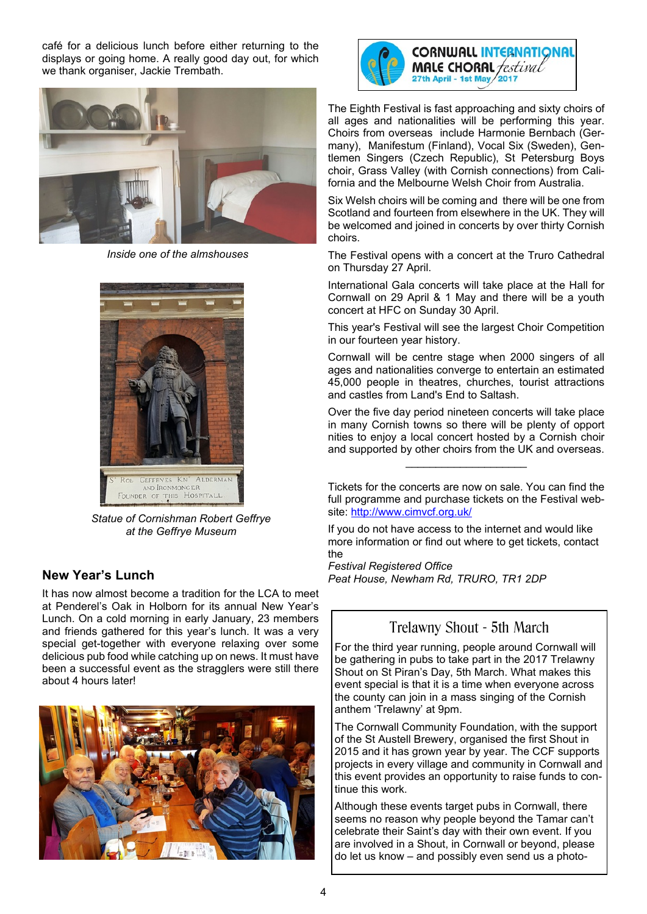café for a delicious lunch before either returning to the displays or going home. A really good day out, for which we thank organiser, Jackie Trembath.



*Inside one of the almshouses*



*Statue of Cornishman Robert Geffrye at the Geffrye Museum*

### **New Year's Lunch**

It has now almost become a tradition for the LCA to meet at Penderel's Oak in Holborn for its annual New Year's Lunch. On a cold morning in early January, 23 members and friends gathered for this year's lunch. It was a very special get-together with everyone relaxing over some delicious pub food while catching up on news. It must have been a successful event as the stragglers were still there about 4 hours later!





CORNWALL INTERNATIONAL<br>MALE CHORAL *festival* 27th April - 1st May 2017

The Eighth Festival is fast approaching and sixty choirs of all ages and nationalities will be performing this year. Choirs from overseas include Harmonie Bernbach (Germany), Manifestum (Finland), Vocal Six (Sweden), Gentlemen Singers (Czech Republic), St Petersburg Boys choir, Grass Valley (with Cornish connections) from California and the Melbourne Welsh Choir from Australia.

Six Welsh choirs will be coming and there will be one from Scotland and fourteen from elsewhere in the UK. They will be welcomed and joined in concerts by over thirty Cornish choirs.

The Festival opens with a concert at the Truro Cathedral on Thursday 27 April.

International Gala concerts will take place at the Hall for Cornwall on 29 April & 1 May and there will be a youth concert at HFC on Sunday 30 April.

This year's Festival will see the largest Choir Competition in our fourteen year history.

Cornwall will be centre stage when 2000 singers of all ages and nationalities converge to entertain an estimated 45,000 people in theatres, churches, tourist attractions and castles from Land's End to Saltash.

Over the five day period nineteen concerts will take place in many Cornish towns so there will be plenty of opport nities to enjoy a local concert hosted by a Cornish choir and supported by other choirs from the UK and overseas.

 $\overline{\phantom{a}}$  , where the contract of the contract of the contract of the contract of the contract of the contract of the contract of the contract of the contract of the contract of the contract of the contract of the contr

Tickets for the concerts are now on sale. You can find the full programme and purchase tickets on the Festival website: http://www.cimvcf.org.uk/

If you do not have access to the internet and would like more information or find out where to get tickets, contact the

*Festival Registered Office Peat House, Newham Rd, TRURO, TR1 2DP*

### Trelawny Shout - 5th March

For the third year running, people around Cornwall will be gathering in pubs to take part in the 2017 Trelawny Shout on St Piran's Day, 5th March. What makes this event special is that it is a time when everyone across the county can join in a mass singing of the Cornish anthem 'Trelawny' at 9pm.

The Cornwall Community Foundation, with the support of the St Austell Brewery, organised the first Shout in 2015 and it has grown year by year. The CCF supports projects in every village and community in Cornwall and this event provides an opportunity to raise funds to continue this work.

Although these events target pubs in Cornwall, there seems no reason why people beyond the Tamar can't celebrate their Saint's day with their own event. If you are involved in a Shout, in Cornwall or beyond, please do let us know – and possibly even send us a photo-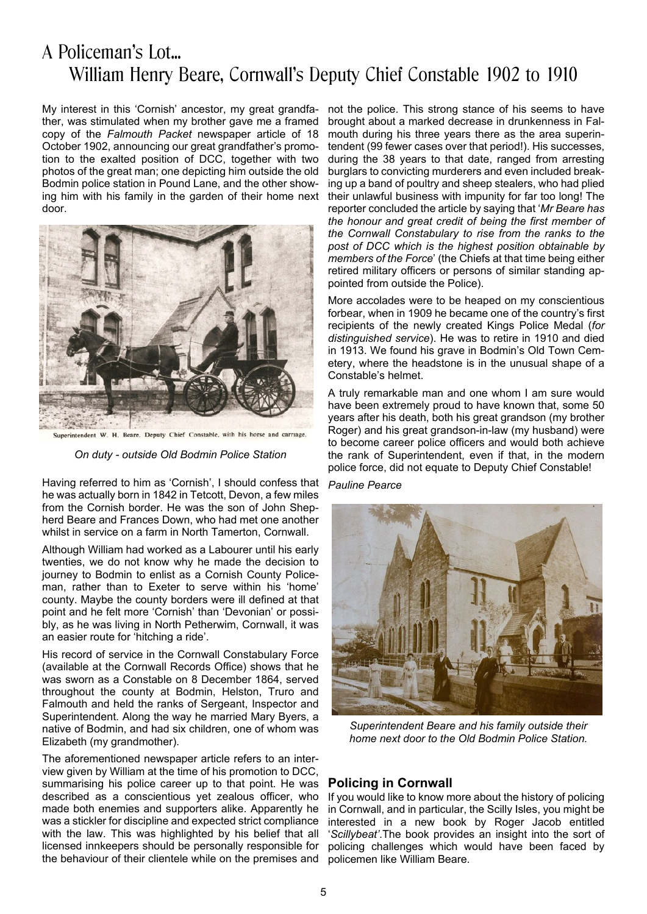### A Policeman's Lot... William Henry Beare, Cornwall's Deputy Chief Constable 1902 to 1910

My interest in this 'Cornish' ancestor, my great grandfather, was stimulated when my brother gave me a framed copy of the *Falmouth Packet* newspaper article of 18 October 1902, announcing our great grandfather's promotion to the exalted position of DCC, together with two photos of the great man; one depicting him outside the old Bodmin police station in Pound Lane, and the other showing him with his family in the garden of their home next door.



Superintendent W. H. Beare. Deputy Chief Constable, with his horse and carriage.

*On duty - outside Old Bodmin Police Station*

Having referred to him as 'Cornish', I should confess that he was actually born in 1842 in Tetcott, Devon, a few miles from the Cornish border. He was the son of John Shepherd Beare and Frances Down, who had met one another whilst in service on a farm in North Tamerton, Cornwall.

Although William had worked as a Labourer until his early twenties, we do not know why he made the decision to journey to Bodmin to enlist as a Cornish County Policeman, rather than to Exeter to serve within his 'home' county. Maybe the county borders were ill defined at that point and he felt more 'Cornish' than 'Devonian' or possibly, as he was living in North Petherwim, Cornwall, it was an easier route for 'hitching a ride'.

His record of service in the Cornwall Constabulary Force (available at the Cornwall Records Office) shows that he was sworn as a Constable on 8 December 1864, served throughout the county at Bodmin, Helston, Truro and Falmouth and held the ranks of Sergeant, Inspector and Superintendent. Along the way he married Mary Byers, a native of Bodmin, and had six children, one of whom was Elizabeth (my grandmother).

The aforementioned newspaper article refers to an interview given by William at the time of his promotion to DCC, summarising his police career up to that point. He was described as a conscientious yet zealous officer, who made both enemies and supporters alike. Apparently he was a stickler for discipline and expected strict compliance with the law. This was highlighted by his belief that all licensed innkeepers should be personally responsible for the behaviour of their clientele while on the premises and

not the police. This strong stance of his seems to have brought about a marked decrease in drunkenness in Falmouth during his three years there as the area superintendent (99 fewer cases over that period!). His successes, during the 38 years to that date, ranged from arresting burglars to convicting murderers and even included breaking up a band of poultry and sheep stealers, who had plied their unlawful business with impunity for far too long! The reporter concluded the article by saying that '*Mr Beare has the honour and great credit of being the first member of the Cornwall Constabulary to rise from the ranks to the post of DCC which is the highest position obtainable by members of the Force*' (the Chiefs at that time being either retired military officers or persons of similar standing appointed from outside the Police).

More accolades were to be heaped on my conscientious forbear, when in 1909 he became one of the country's first recipients of the newly created Kings Police Medal (*for distinguished service*). He was to retire in 1910 and died in 1913. We found his grave in Bodmin's Old Town Cemetery, where the headstone is in the unusual shape of a Constable's helmet.

A truly remarkable man and one whom I am sure would have been extremely proud to have known that, some 50 years after his death, both his great grandson (my brother Roger) and his great grandson-in-law (my husband) were to become career police officers and would both achieve the rank of Superintendent, even if that, in the modern police force, did not equate to Deputy Chief Constable!

*Pauline Pearce*



*Superintendent Beare and his family outside their home next door to the Old Bodmin Police Station.*

#### **Policing in Cornwall**

If you would like to know more about the history of policing in Cornwall, and in particular, the Scilly Isles, you might be interested in a new book by Roger Jacob entitled '*Scillybeat'*.The book provides an insight into the sort of policing challenges which would have been faced by policemen like William Beare.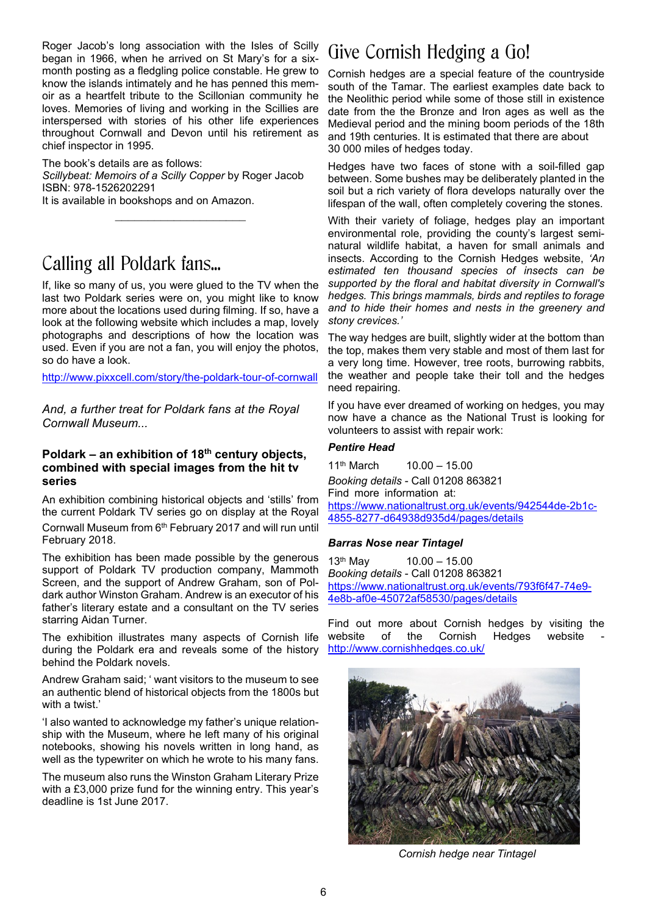Roger Jacob's long association with the Isles of Scilly began in 1966, when he arrived on St Mary's for a sixmonth posting as a fledgling police constable. He grew to know the islands intimately and he has penned this memoir as a heartfelt tribute to the Scillonian community he loves. Memories of living and working in the Scillies are interspersed with stories of his other life experiences throughout Cornwall and Devon until his retirement as chief inspector in 1995.

The book's details are as follows: *Scillybeat: Memoirs of a Scilly Copper* by Roger Jacob ISBN: 978-1526202291 It is available in bookshops and on Amazon.

 $\overline{\phantom{a}}$  , which is a set of the set of the set of the set of the set of the set of the set of the set of the set of the set of the set of the set of the set of the set of the set of the set of the set of the set of th

### Calling all Poldark fans...

If, like so many of us, you were glued to the TV when the last two Poldark series were on, you might like to know more about the locations used during filming. If so, have a look at the following website which includes a map, lovely photographs and descriptions of how the location was used. Even if you are not a fan, you will enjoy the photos, so do have a look.

http://www.pixxcell.com/story/the-poldark-tour-of-cornwall

*And, a further treat for Poldark fans at the Royal Cornwall Museum...*

#### **Poldark – an exhibition of 18th century objects, combined with special images from the hit tv series**

An exhibition combining historical objects and 'stills' from the current Poldark TV series go on display at the Royal Cornwall Museum from 6th February 2017 and will run until February 2018.

The exhibition has been made possible by the generous support of Poldark TV production company, Mammoth Screen, and the support of Andrew Graham, son of Poldark author Winston Graham. Andrew is an executor of his father's literary estate and a consultant on the TV series starring Aidan Turner.

The exhibition illustrates many aspects of Cornish life during the Poldark era and reveals some of the history behind the Poldark novels.

Andrew Graham said; ' want visitors to the museum to see an authentic blend of historical objects from the 1800s but with a twist.'

'I also wanted to acknowledge my father's unique relationship with the Museum, where he left many of his original notebooks, showing his novels written in long hand, as well as the typewriter on which he wrote to his many fans.

The museum also runs the Winston Graham Literary Prize with a £3,000 prize fund for the winning entry. This year's deadline is 1st June 2017.

### Give Cornish Hedging a Go!

Cornish hedges are a special feature of the countryside south of the Tamar. The earliest examples date back to the Neolithic period while some of those still in existence date from the the Bronze and Iron ages as well as the Medieval period and the mining boom periods of the 18th and 19th centuries. It is estimated that there are about 30 000 miles of hedges today.

Hedges have two faces of stone with a soil-filled gap between. Some bushes may be deliberately planted in the soil but a rich variety of flora develops naturally over the lifespan of the wall, often completely covering the stones.

With their variety of foliage, hedges play an important environmental role, providing the county's largest seminatural wildlife habitat, a haven for small animals and insects. According to the Cornish Hedges website, *'An estimated ten thousand species of insects can be supported by the floral and habitat diversity in Cornwall's hedges. This brings mammals, birds and reptiles to forage and to hide their homes and nests in the greenery and stony crevices.'*

The way hedges are built, slightly wider at the bottom than the top, makes them very stable and most of them last for a very long time. However, tree roots, burrowing rabbits, the weather and people take their toll and the hedges need repairing.

If you have ever dreamed of working on hedges, you may now have a chance as the National Trust is looking for volunteers to assist with repair work:

#### *Pentire Head*

 $11<sup>th</sup>$  March  $10.00 - 15.00$ *Booking details* - Call 01208 863821 Find more information at: https://www.nationaltrust.org.uk/events/942544de-2b1c-4855-8277-d64938d935d4/pages/details

#### *Barras Nose near Tintagel*

13th May 10.00 – 15.00 *Booking details* - Call 01208 863821 https://www.nationaltrust.org.uk/events/793f6f47-74e9- 4e8b-af0e-45072af58530/pages/details

Find out more about Cornish hedges by visiting the website of the Cornish Hedges website http://www.cornishhedges.co.uk/



*Cornish hedge near Tintagel*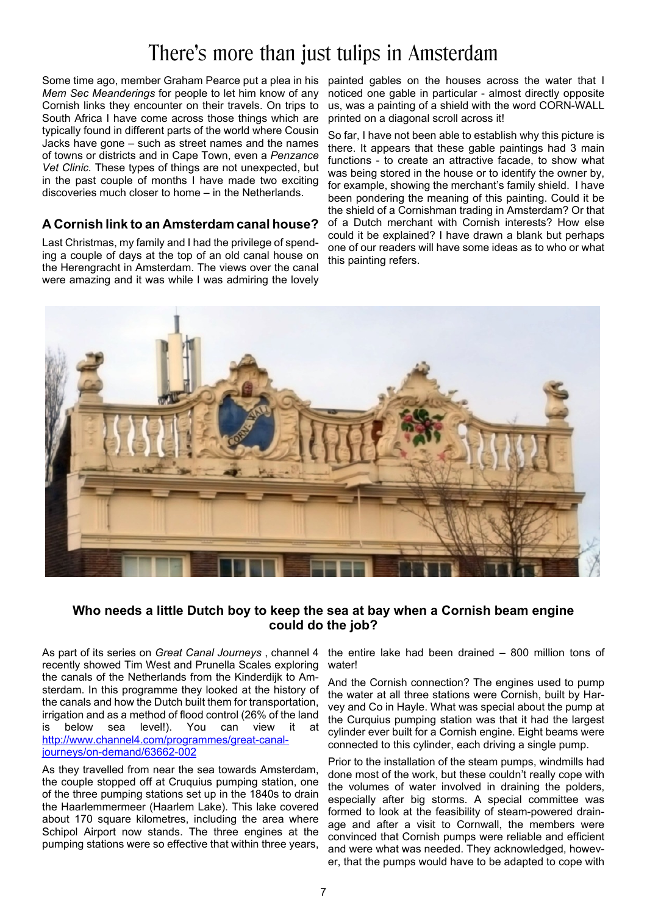## There's more than just tulips in Amsterdam

Some time ago, member Graham Pearce put a plea in his painted gables on the houses across the water that I *Mem Sec Meanderings* for people to let him know of any Cornish links they encounter on their travels. On trips to South Africa I have come across those things which are typically found in different parts of the world where Cousin Jacks have gone – such as street names and the names of towns or districts and in Cape Town, even a *Penzance Vet Clinic.* These types of things are not unexpected, but in the past couple of months I have made two exciting discoveries much closer to home – in the Netherlands.

### **A Cornish link to an Amsterdam canal house?**

Last Christmas, my family and I had the privilege of spending a couple of days at the top of an old canal house on the Herengracht in Amsterdam. The views over the canal were amazing and it was while I was admiring the lovely

noticed one gable in particular - almost directly opposite us, was a painting of a shield with the word CORN-WALL printed on a diagonal scroll across it!

So far, I have not been able to establish why this picture is there. It appears that these gable paintings had 3 main functions - to create an attractive facade, to show what was being stored in the house or to identify the owner by, for example, showing the merchant's family shield. I have been pondering the meaning of this painting. Could it be the shield of a Cornishman trading in Amsterdam? Or that of a Dutch merchant with Cornish interests? How else could it be explained? I have drawn a blank but perhaps one of our readers will have some ideas as to who or what this painting refers.



### **Who needs a little Dutch boy to keep the sea at bay when a Cornish beam engine could do the job?**

As part of its series on *Great Canal Journeys* , channel 4 the entire lake had been drained – 800 million tons of recently showed Tim West and Prunella Scales exploring the canals of the Netherlands from the Kinderdijk to Amsterdam. In this programme they looked at the history of the canals and how the Dutch built them for transportation, irrigation and as a method of flood control (26% of the land is below sea level!). You can view it at http://www.channel4.com/programmes/great-canaljourneys/on-demand/63662-002

As they travelled from near the sea towards Amsterdam, the couple stopped off at Cruquius pumping station, one of the three pumping stations set up in the 1840s to drain the Haarlemmermeer (Haarlem Lake). This lake covered about 170 square kilometres, including the area where Schipol Airport now stands. The three engines at the pumping stations were so effective that within three years,

water!

And the Cornish connection? The engines used to pump the water at all three stations were Cornish, built by Harvey and Co in Hayle. What was special about the pump at the Curquius pumping station was that it had the largest cylinder ever built for a Cornish engine. Eight beams were connected to this cylinder, each driving a single pump.

Prior to the installation of the steam pumps, windmills had done most of the work, but these couldn't really cope with the volumes of water involved in draining the polders, especially after big storms. A special committee was formed to look at the feasibility of steam-powered drainage and after a visit to Cornwall, the members were convinced that Cornish pumps were reliable and efficient and were what was needed. They acknowledged, however, that the pumps would have to be adapted to cope with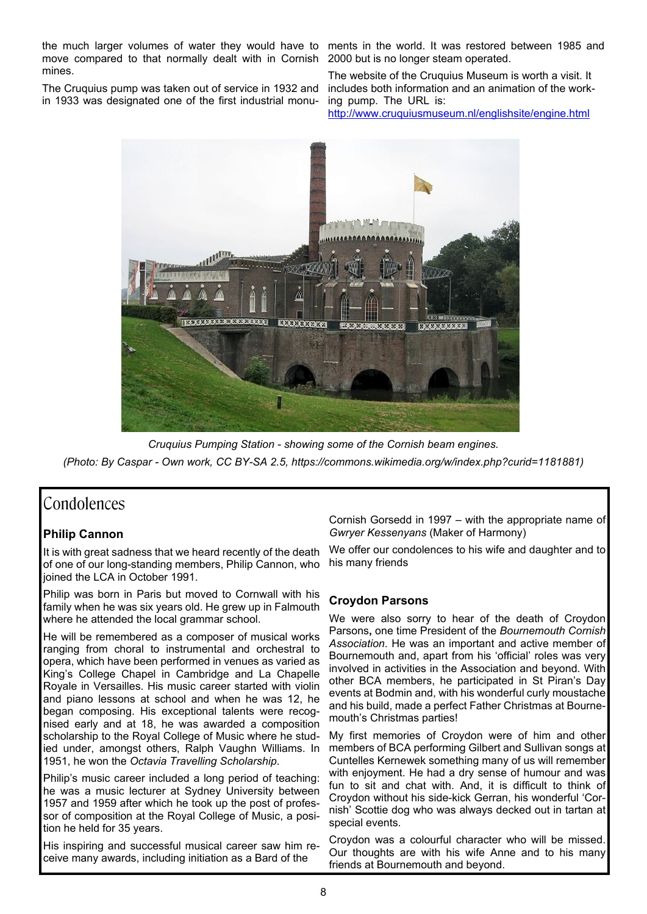the much larger volumes of water they would have to ments in the world. It was restored between 1985 and move compared to that normally dealt with in Cornish 2000 but is no longer steam operated. mines.

The Cruquius pump was taken out of service in 1932 and in 1933 was designated one of the first industrial monu-

The website of the Cruquius Museum is worth a visit. It includes both information and an animation of the working pump. The URL is:

http://www.cruquiusmuseum.nl/englishsite/engine.html



*Cruquius Pumping Station - showing some of the Cornish beam engines. (Photo: By Caspar - Own work, CC BY-SA 2.5, https://commons.wikimedia.org/w/index.php?curid=1181881)*

### Condolences

### **Philip Cannon**

It is with great sadness that we heard recently of the death of one of our long-standing members, Philip Cannon, who joined the LCA in October 1991.

Philip was born in Paris but moved to Cornwall with his family when he was six years old. He grew up in Falmouth where he attended the local grammar school.

He will be remembered as a composer of musical works ranging from choral to instrumental and orchestral to opera, which have been performed in venues as varied as King's College Chapel in Cambridge and La Chapelle Royale in Versailles. His music career started with violin and piano lessons at school and when he was 12, he began composing. His exceptional talents were recognised early and at 18, he was awarded a composition scholarship to the Royal College of Music where he studied under, amongst others, Ralph Vaughn Williams. In 1951, he won the *Octavia Travelling Scholarship*.

Philip's music career included a long period of teaching: he was a music lecturer at Sydney University between 1957 and 1959 after which he took up the post of professor of composition at the Royal College of Music, a position he held for 35 years.

His inspiring and successful musical career saw him receive many awards, including initiation as a Bard of the

Cornish Gorsedd in 1997 – with the appropriate name of *Gwryer Kessenyans* (Maker of Harmony)

We offer our condolences to his wife and daughter and to his many friends

### **Croydon Parsons**

We were also sorry to hear of the death of Croydon Parsons**,** one time President of the *Bournemouth Cornish Association*. He was an important and active member of Bournemouth and, apart from his 'official' roles was very involved in activities in the Association and beyond. With other BCA members, he participated in St Piran's Day events at Bodmin and, with his wonderful curly moustache and his build, made a perfect Father Christmas at Bournemouth's Christmas parties!

My first memories of Croydon were of him and other members of BCA performing Gilbert and Sullivan songs at Cuntelles Kernewek something many of us will remember with enjoyment. He had a dry sense of humour and was fun to sit and chat with. And, it is difficult to think of Croydon without his side-kick Gerran, his wonderful 'Cornish' Scottie dog who was always decked out in tartan at special events.

Croydon was a colourful character who will be missed. Our thoughts are with his wife Anne and to his many friends at Bournemouth and beyond.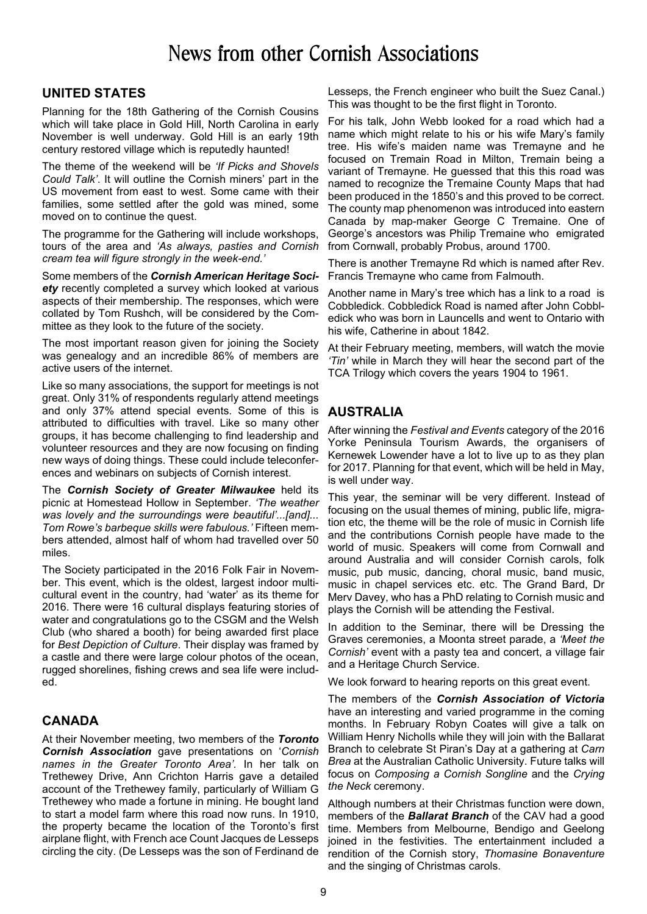## News from other Cornish Associations

### **UNITED STATES**

Planning for the 18th Gathering of the Cornish Cousins which will take place in Gold Hill, North Carolina in early November is well underway. Gold Hill is an early 19th century restored village which is reputedly haunted!

The theme of the weekend will be *'If Picks and Shovels Could Talk'*. It will outline the Cornish miners' part in the US movement from east to west. Some came with their families, some settled after the gold was mined, some moved on to continue the quest.

The programme for the Gathering will include workshops, tours of the area and *'As always, pasties and Cornish cream tea will figure strongly in the week-end.'*

Some members of the *Cornish American Heritage Society* recently completed a survey which looked at various aspects of their membership. The responses, which were collated by Tom Rushch, will be considered by the Committee as they look to the future of the society.

The most important reason given for joining the Society was genealogy and an incredible 86% of members are active users of the internet.

Like so many associations, the support for meetings is not great. Only 31% of respondents regularly attend meetings and only 37% attend special events. Some of this is attributed to difficulties with travel. Like so many other groups, it has become challenging to find leadership and volunteer resources and they are now focusing on finding new ways of doing things. These could include teleconferences and webinars on subjects of Cornish interest.

The *Cornish Society of Greater Milwaukee* held its picnic at Homestead Hollow in September. *'The weather was lovely and the surroundings were beautiful'...[and]... Tom Rowe's barbeque skills were fabulous.'* Fifteen members attended, almost half of whom had travelled over 50 miles.

The Society participated in the 2016 Folk Fair in November. This event, which is the oldest, largest indoor multicultural event in the country, had 'water' as its theme for 2016. There were 16 cultural displays featuring stories of water and congratulations go to the CSGM and the Welsh Club (who shared a booth) for being awarded first place for *Best Depiction of Culture*. Their display was framed by a castle and there were large colour photos of the ocean, rugged shorelines, fishing crews and sea life were included.

### **CANADA**

At their November meeting, two members of the *Toronto Cornish Association* gave presentations on '*Cornish names in the Greater Toronto Area'.* In her talk on Trethewey Drive, Ann Crichton Harris gave a detailed account of the Trethewey family, particularly of William G Trethewey who made a fortune in mining. He bought land to start a model farm where this road now runs. In 1910, the property became the location of the Toronto's first airplane flight, with French ace Count Jacques de Lesseps circling the city. (De Lesseps was the son of Ferdinand de

Lesseps, the French engineer who built the Suez Canal.) This was thought to be the first flight in Toronto.

For his talk, John Webb looked for a road which had a name which might relate to his or his wife Mary's family tree. His wife's maiden name was Tremayne and he focused on Tremain Road in Milton, Tremain being a variant of Tremayne. He guessed that this this road was named to recognize the Tremaine County Maps that had been produced in the 1850's and this proved to be correct. The county map phenomenon was introduced into eastern Canada by map-maker George C Tremaine. One of George's ancestors was Philip Tremaine who emigrated from Cornwall, probably Probus, around 1700.

There is another Tremayne Rd which is named after Rev. Francis Tremayne who came from Falmouth.

Another name in Mary's tree which has a link to a road is Cobbledick. Cobbledick Road is named after John Cobbledick who was born in Launcells and went to Ontario with his wife, Catherine in about 1842.

At their February meeting, members, will watch the movie *'Tin'* while in March they will hear the second part of the TCA Trilogy which covers the years 1904 to 1961.

### **AUSTRALIA**

After winning the *Festival and Events* category of the 2016 Yorke Peninsula Tourism Awards, the organisers of Kernewek Lowender have a lot to live up to as they plan for 2017. Planning for that event, which will be held in May, is well under way.

This year, the seminar will be very different. Instead of focusing on the usual themes of mining, public life, migration etc, the theme will be the role of music in Cornish life and the contributions Cornish people have made to the world of music. Speakers will come from Cornwall and around Australia and will consider Cornish carols, folk music, pub music, dancing, choral music, band music, music in chapel services etc. etc. The Grand Bard, Dr Merv Davey, who has a PhD relating to Cornish music and plays the Cornish will be attending the Festival.

In addition to the Seminar, there will be Dressing the Graves ceremonies, a Moonta street parade, a *'Meet the Cornish'* event with a pasty tea and concert, a village fair and a Heritage Church Service.

We look forward to hearing reports on this great event.

The members of the *Cornish Association of Victoria* have an interesting and varied programme in the coming months. In February Robyn Coates will give a talk on William Henry Nicholls while they will join with the Ballarat Branch to celebrate St Piran's Day at a gathering at *Carn Brea* at the Australian Catholic University. Future talks will focus on *Composing a Cornish Songline* and the *Crying the Neck* ceremony.

Although numbers at their Christmas function were down, members of the *Ballarat Branch* of the CAV had a good time. Members from Melbourne, Bendigo and Geelong joined in the festivities. The entertainment included a rendition of the Cornish story, *Thomasine Bonaventure* and the singing of Christmas carols.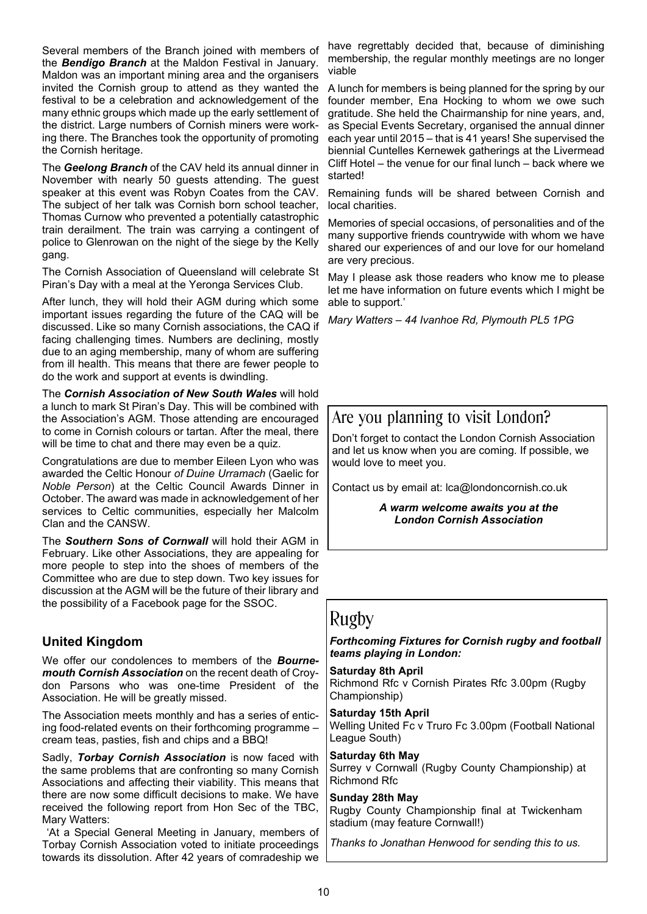Several members of the Branch joined with members of the *Bendigo Branch* at the Maldon Festival in January. Maldon was an important mining area and the organisers invited the Cornish group to attend as they wanted the festival to be a celebration and acknowledgement of the many ethnic groups which made up the early settlement of the district. Large numbers of Cornish miners were working there. The Branches took the opportunity of promoting the Cornish heritage.

The *Geelong Branch* of the CAV held its annual dinner in November with nearly 50 guests attending. The guest speaker at this event was Robyn Coates from the CAV. The subject of her talk was Cornish born school teacher, Thomas Curnow who prevented a potentially catastrophic train derailment. The train was carrying a contingent of police to Glenrowan on the night of the siege by the Kelly gang.

The Cornish Association of Queensland will celebrate St Piran's Day with a meal at the Yeronga Services Club.

After lunch, they will hold their AGM during which some important issues regarding the future of the CAQ will be discussed. Like so many Cornish associations, the CAQ if facing challenging times. Numbers are declining, mostly due to an aging membership, many of whom are suffering from ill health. This means that there are fewer people to do the work and support at events is dwindling.

The *Cornish Association of New South Wales* will hold a lunch to mark St Piran's Day. This will be combined with the Association's AGM. Those attending are encouraged to come in Cornish colours or tartan. After the meal, there will be time to chat and there may even be a quiz.

Congratulations are due to member Eileen Lyon who was awarded the Celtic Honour *of Duine Urramach* (Gaelic for *Noble Person*) at the Celtic Council Awards Dinner in October. The award was made in acknowledgement of her services to Celtic communities, especially her Malcolm Clan and the CANSW.

The *Southern Sons of Cornwall* will hold their AGM in February. Like other Associations, they are appealing for more people to step into the shoes of members of the Committee who are due to step down. Two key issues for discussion at the AGM will be the future of their library and the possibility of a Facebook page for the SSOC.

### **United Kingdom**

We offer our condolences to members of the *Bournemouth Cornish Association* on the recent death of Croydon Parsons who was one-time President of the Association. He will be greatly missed.

The Association meets monthly and has a series of enticing food-related events on their forthcoming programme – cream teas, pasties, fish and chips and a BBQ!

Sadly, *Torbay Cornish Association* is now faced with the same problems that are confronting so many Cornish Associations and affecting their viability. This means that there are now some difficult decisions to make. We have received the following report from Hon Sec of the TBC, Mary Watters:

 'At a Special General Meeting in January, members of Torbay Cornish Association voted to initiate proceedings towards its dissolution. After 42 years of comradeship we

have regrettably decided that, because of diminishing membership, the regular monthly meetings are no longer viable

A lunch for members is being planned for the spring by our founder member, Ena Hocking to whom we owe such gratitude. She held the Chairmanship for nine years, and, as Special Events Secretary, organised the annual dinner each year until 2015 – that is 41 years! She supervised the biennial Cuntelles Kernewek gatherings at the Livermead Cliff Hotel – the venue for our final lunch – back where we started!

Remaining funds will be shared between Cornish and local charities.

Memories of special occasions, of personalities and of the many supportive friends countrywide with whom we have shared our experiences of and our love for our homeland are very precious.

May I please ask those readers who know me to please let me have information on future events which I might be able to support.'

*Mary Watters – 44 Ivanhoe Rd, Plymouth PL5 1PG*

### Are you planning to visit London?

Don't forget to contact the London Cornish Association and let us know when you are coming. If possible, we would love to meet you.

Contact us by email at: lca@londoncornish.co.uk

*A warm welcome awaits you at the London Cornish Association*

### Rugby

*Forthcoming Fixtures for Cornish rugby and football teams playing in London:*

**Saturday 8th April** Richmond Rfc v Cornish Pirates Rfc 3.00pm (Rugby Championship)

**Saturday 15th April** Welling United Fc v Truro Fc 3.00pm (Football National League South)

**Saturday 6th May** Surrey v Cornwall (Rugby County Championship) at Richmond Rfc

#### **Sunday 28th May**

Rugby County Championship final at Twickenham stadium (may feature Cornwall!)

*Thanks to Jonathan Henwood for sending this to us.*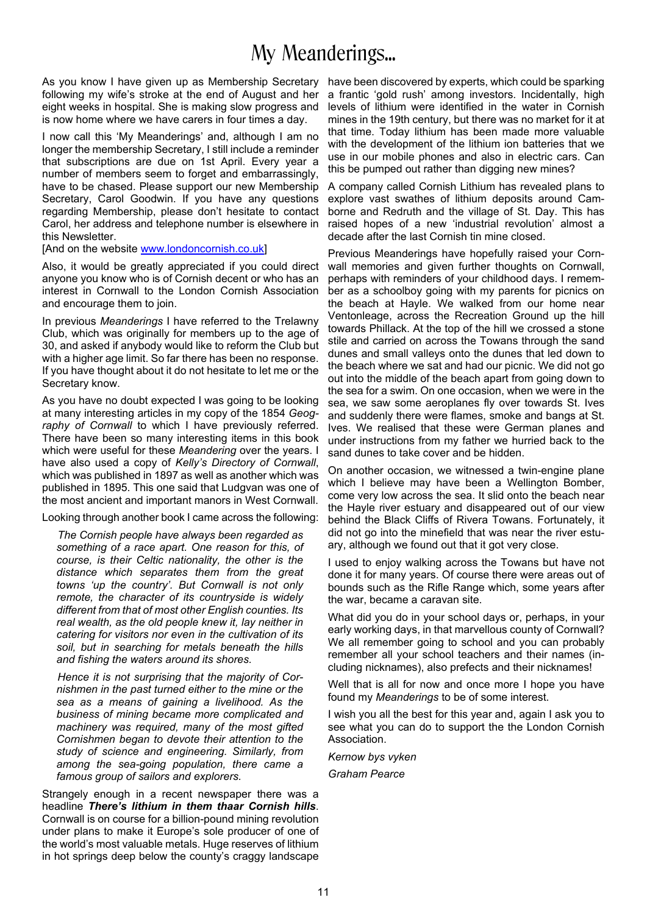## My Meanderings...

As you know I have given up as Membership Secretary have been discovered by experts, which could be sparking following my wife's stroke at the end of August and her eight weeks in hospital. She is making slow progress and is now home where we have carers in four times a day.

I now call this 'My Meanderings' and, although I am no longer the membership Secretary, I still include a reminder that subscriptions are due on 1st April. Every year a number of members seem to forget and embarrassingly, have to be chased. Please support our new Membership Secretary, Carol Goodwin. If you have any questions regarding Membership, please don't hesitate to contact Carol, her address and telephone number is elsewhere in this Newsletter.

[And on the website www.londoncornish.co.uk]

Also, it would be greatly appreciated if you could direct anyone you know who is of Cornish decent or who has an interest in Cornwall to the London Cornish Association and encourage them to join.

In previous *Meanderings* I have referred to the Trelawny Club, which was originally for members up to the age of 30, and asked if anybody would like to reform the Club but with a higher age limit. So far there has been no response. If you have thought about it do not hesitate to let me or the Secretary know.

As you have no doubt expected I was going to be looking at many interesting articles in my copy of the 1854 *Geography of Cornwall* to which I have previously referred. There have been so many interesting items in this book which were useful for these *Meandering* over the years. I have also used a copy of *Kelly's Directory of Cornwall*, which was published in 1897 as well as another which was published in 1895. This one said that Ludgvan was one of the most ancient and important manors in West Cornwall.

Looking through another book I came across the following:

*The Cornish people have always been regarded as something of a race apart. One reason for this, of course, is their Celtic nationality, the other is the distance which separates them from the great towns 'up the country'. But Cornwall is not only remote, the character of its countryside is widely different from that of most other English counties. Its real wealth, as the old people knew it, lay neither in catering for visitors nor even in the cultivation of its soil, but in searching for metals beneath the hills and fishing the waters around its shores.*

*Hence it is not surprising that the majority of Cornishmen in the past turned either to the mine or the sea as a means of gaining a livelihood. As the business of mining became more complicated and machinery was required, many of the most gifted Cornishmen began to devote their attention to the study of science and engineering. Similarly, from among the sea-going population, there came a famous group of sailors and explorers.*

Strangely enough in a recent newspaper there was a headline *There's lithium in them thaar Cornish hills*. Cornwall is on course for a billion-pound mining revolution under plans to make it Europe's sole producer of one of the world's most valuable metals. Huge reserves of lithium in hot springs deep below the county's craggy landscape

a frantic 'gold rush' among investors. Incidentally, high levels of lithium were identified in the water in Cornish mines in the 19th century, but there was no market for it at that time. Today lithium has been made more valuable with the development of the lithium ion batteries that we use in our mobile phones and also in electric cars. Can this be pumped out rather than digging new mines?

A company called Cornish Lithium has revealed plans to explore vast swathes of lithium deposits around Camborne and Redruth and the village of St. Day. This has raised hopes of a new 'industrial revolution' almost a decade after the last Cornish tin mine closed.

Previous Meanderings have hopefully raised your Cornwall memories and given further thoughts on Cornwall, perhaps with reminders of your childhood days. I remember as a schoolboy going with my parents for picnics on the beach at Hayle. We walked from our home near Ventonleage, across the Recreation Ground up the hill towards Phillack. At the top of the hill we crossed a stone stile and carried on across the Towans through the sand dunes and small valleys onto the dunes that led down to the beach where we sat and had our picnic. We did not go out into the middle of the beach apart from going down to the sea for a swim. On one occasion, when we were in the sea, we saw some aeroplanes fly over towards St. Ives and suddenly there were flames, smoke and bangs at St. Ives. We realised that these were German planes and under instructions from my father we hurried back to the sand dunes to take cover and be hidden.

On another occasion, we witnessed a twin-engine plane which I believe may have been a Wellington Bomber, come very low across the sea. It slid onto the beach near the Hayle river estuary and disappeared out of our view behind the Black Cliffs of Rivera Towans. Fortunately, it did not go into the minefield that was near the river estuary, although we found out that it got very close.

I used to enjoy walking across the Towans but have not done it for many years. Of course there were areas out of bounds such as the Rifle Range which, some years after the war, became a caravan site.

What did you do in your school days or, perhaps, in your early working days, in that marvellous county of Cornwall? We all remember going to school and you can probably remember all your school teachers and their names (including nicknames), also prefects and their nicknames!

Well that is all for now and once more I hope you have found my *Meanderings* to be of some interest.

I wish you all the best for this year and, again I ask you to see what you can do to support the the London Cornish Association.

*Kernow bys vyken*

*Graham Pearce*